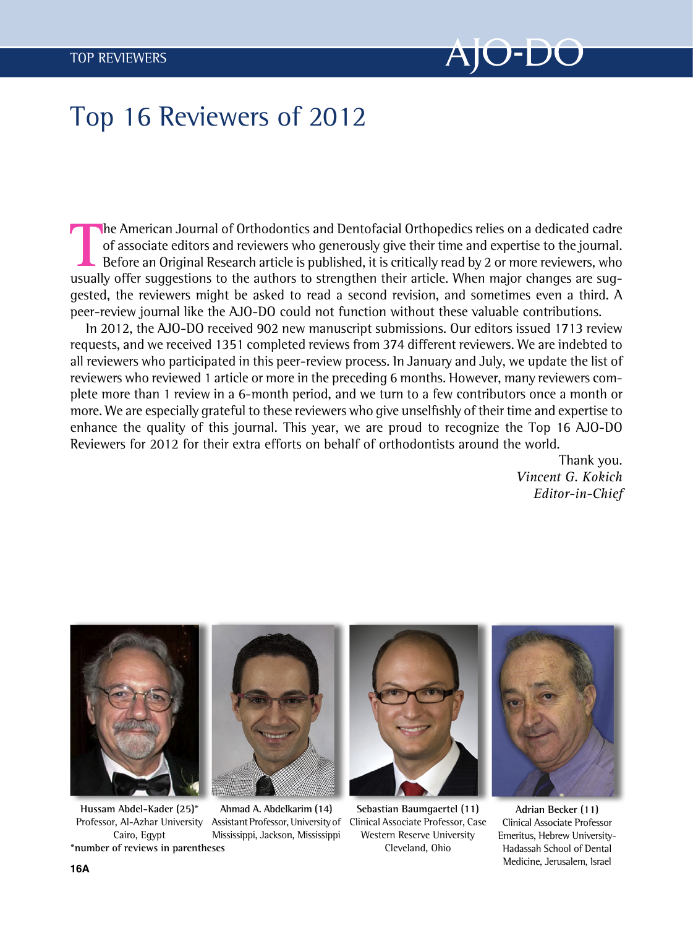

## Top 16 Reviewers of 2012

The American Journal of Orthodontics and Dentofacial Orthopedics relies on a dedicated cadre<br>of associate editors and reviewers who generously give their time and expertise to the journal.<br>Before an Original Research artic of associate editors and reviewers who generously give their time and expertise to the journal. Before an Original Research article is published, it is critically read by 2 or more reviewers, who usually offer suggestions to the authors to strengthen their article. When major changes are suggested, the reviewers might be asked to read a second revision, and sometimes even a third. A peer-review journal like the AJO-DO could not function without these valuable contributions.

In 2012, the AJO-DO received 902 new manuscript submissions. Our editors issued 1713 review requests, and we received 1351 completed reviews from 374 different reviewers. We are indebted to all reviewers who participated in this peer-review process. In January and July, we update the list of reviewers who reviewed 1 article or more in the preceding 6 months. However, many reviewers complete more than 1 review in a 6-month period, and we turn to a few contributors once a month or more. We are especially grateful to these reviewers who give unselfishly of their time and expertise to enhance the quality of this journal. This year, we are proud to recognize the Top 16 AJO-DO Reviewers for 2012 for their extra efforts on behalf of orthodontists around the world.

> Thank you. Vincent G. Kokich Editor-in-Chief



Hussam Abdel-Kader (25)\* Professor, Al-Azhar University Cairo, Egypt \*number of reviews in parentheses



Ahmad A. Abdelkarim (14) Assistant Professor, University of Mississippi, Jackson, Mississippi



Sebastian Baumgaertel (11) Clinical Associate Professor, Case Western Reserve University Cleveland, Ohio



Adrian Becker (11) Clinical Associate Professor Emeritus, Hebrew University-Hadassah School of Dental Medicine, Jerusalem, Israel